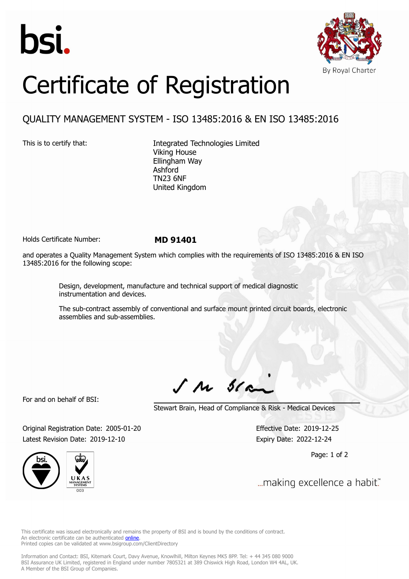



## Certificate of Registration

## QUALITY MANAGEMENT SYSTEM - ISO 13485:2016 & EN ISO 13485:2016

This is to certify that: Integrated Technologies Limited Viking House Ellingham Way Ashford TN23 6NF United Kingdom

Holds Certificate Number: **MD 91401**

and operates a Quality Management System which complies with the requirements of ISO 13485:2016 & EN ISO 13485:2016 for the following scope:

> Design, development, manufacture and technical support of medical diagnostic instrumentation and devices.

The sub-contract assembly of conventional and surface mount printed circuit boards, electronic assemblies and sub-assemblies.

 $J$   $M$   $31$ 

For and on behalf of BSI:

Stewart Brain, Head of Compliance & Risk - Medical Devices

Original Registration Date: 2005-01-20 Effective Date: 2019-12-25 Latest Revision Date: 2019-12-10 Expiry Date: 2022-12-24

Page: 1 of 2





... making excellence a habit."

This certificate was issued electronically and remains the property of BSI and is bound by the conditions of contract. An electronic certificate can be authenticated **[online](https://pgplus.bsigroup.com/CertificateValidation/CertificateValidator.aspx?CertificateNumber=MD+91401&ReIssueDate=10%2f12%2f2019&Template=uk)**. Printed copies can be validated at www.bsigroup.com/ClientDirectory

Information and Contact: BSI, Kitemark Court, Davy Avenue, Knowlhill, Milton Keynes MK5 8PP. Tel: + 44 345 080 9000 BSI Assurance UK Limited, registered in England under number 7805321 at 389 Chiswick High Road, London W4 4AL, UK. A Member of the BSI Group of Companies.